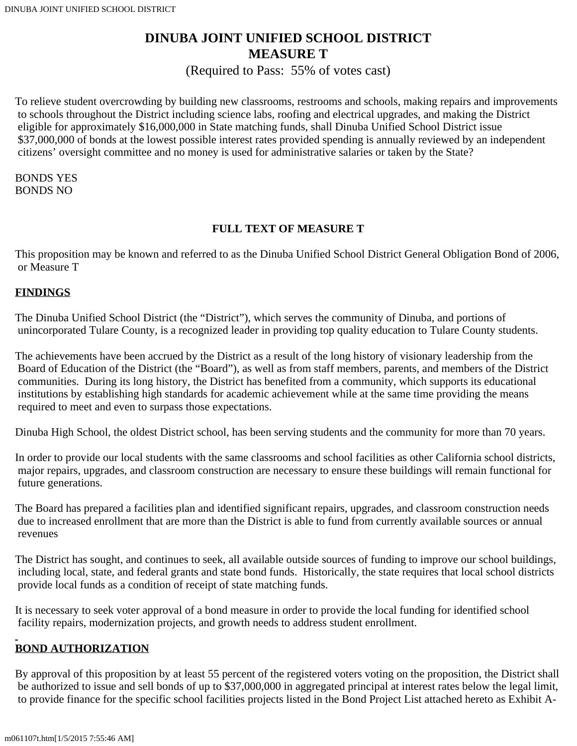# **DINUBA JOINT UNIFIED SCHOOL DISTRICT MEASURE T**

(Required to Pass: 55% of votes cast)

To relieve student overcrowding by building new classrooms, restrooms and schools, making repairs and improvements to schools throughout the District including science labs, roofing and electrical upgrades, and making the District eligible for approximately \$16,000,000 in State matching funds, shall Dinuba Unified School District issue \$37,000,000 of bonds at the lowest possible interest rates provided spending is annually reviewed by an independent citizens' oversight committee and no money is used for administrative salaries or taken by the State?

BONDS YES BONDS NO

# **FULL TEXT OF MEASURE T**

This proposition may be known and referred to as the Dinuba Unified School District General Obligation Bond of 2006, or Measure T

## **FINDINGS**

The Dinuba Unified School District (the "District"), which serves the community of Dinuba, and portions of unincorporated Tulare County, is a recognized leader in providing top quality education to Tulare County students.

The achievements have been accrued by the District as a result of the long history of visionary leadership from the Board of Education of the District (the "Board"), as well as from staff members, parents, and members of the District communities. During its long history, the District has benefited from a community, which supports its educational institutions by establishing high standards for academic achievement while at the same time providing the means required to meet and even to surpass those expectations.

Dinuba High School, the oldest District school, has been serving students and the community for more than 70 years.

In order to provide our local students with the same classrooms and school facilities as other California school districts, major repairs, upgrades, and classroom construction are necessary to ensure these buildings will remain functional for future generations.

The Board has prepared a facilities plan and identified significant repairs, upgrades, and classroom construction needs due to increased enrollment that are more than the District is able to fund from currently available sources or annual revenues

The District has sought, and continues to seek, all available outside sources of funding to improve our school buildings, including local, state, and federal grants and state bond funds. Historically, the state requires that local school districts provide local funds as a condition of receipt of state matching funds.

It is necessary to seek voter approval of a bond measure in order to provide the local funding for identified school facility repairs, modernization projects, and growth needs to address student enrollment.

# **BOND AUTHORIZATION**

By approval of this proposition by at least 55 percent of the registered voters voting on the proposition, the District shall be authorized to issue and sell bonds of up to \$37,000,000 in aggregated principal at interest rates below the legal limit, to provide finance for the specific school facilities projects listed in the Bond Project List attached hereto as Exhibit A-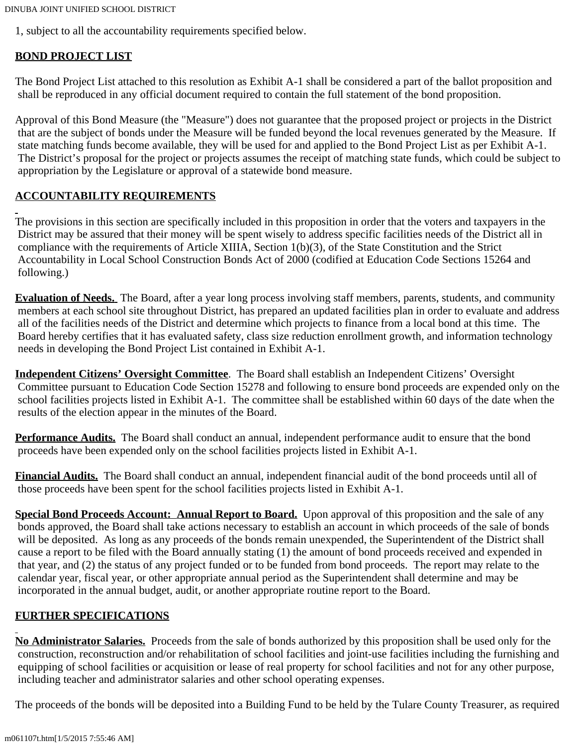DINUBA JOINT UNIFIED SCHOOL DISTRICT

1, subject to all the accountability requirements specified below.

# **BOND PROJECT LIST**

The Bond Project List attached to this resolution as Exhibit A-1 shall be considered a part of the ballot proposition and shall be reproduced in any official document required to contain the full statement of the bond proposition.

Approval of this Bond Measure (the "Measure") does not guarantee that the proposed project or projects in the District that are the subject of bonds under the Measure will be funded beyond the local revenues generated by the Measure. If state matching funds become available, they will be used for and applied to the Bond Project List as per Exhibit A-1. The District's proposal for the project or projects assumes the receipt of matching state funds, which could be subject to appropriation by the Legislature or approval of a statewide bond measure.

# **ACCOUNTABILITY REQUIREMENTS**

The provisions in this section are specifically included in this proposition in order that the voters and taxpayers in the District may be assured that their money will be spent wisely to address specific facilities needs of the District all in compliance with the requirements of Article XIIIA, Section 1(b)(3), of the State Constitution and the Strict Accountability in Local School Construction Bonds Act of 2000 (codified at Education Code Sections 15264 and following.)

**Evaluation of Needs.** The Board, after a year long process involving staff members, parents, students, and community members at each school site throughout District, has prepared an updated facilities plan in order to evaluate and address all of the facilities needs of the District and determine which projects to finance from a local bond at this time. The Board hereby certifies that it has evaluated safety, class size reduction enrollment growth, and information technology needs in developing the Bond Project List contained in Exhibit A-1.

**Independent Citizens' Oversight Committee**. The Board shall establish an Independent Citizens' Oversight Committee pursuant to Education Code Section 15278 and following to ensure bond proceeds are expended only on the school facilities projects listed in Exhibit A-1. The committee shall be established within 60 days of the date when the results of the election appear in the minutes of the Board.

**Performance Audits.** The Board shall conduct an annual, independent performance audit to ensure that the bond proceeds have been expended only on the school facilities projects listed in Exhibit A-1.

**Financial Audits.** The Board shall conduct an annual, independent financial audit of the bond proceeds until all of those proceeds have been spent for the school facilities projects listed in Exhibit A-1.

**Special Bond Proceeds Account: Annual Report to Board.** Upon approval of this proposition and the sale of any bonds approved, the Board shall take actions necessary to establish an account in which proceeds of the sale of bonds will be deposited. As long as any proceeds of the bonds remain unexpended, the Superintendent of the District shall cause a report to be filed with the Board annually stating (1) the amount of bond proceeds received and expended in that year, and (2) the status of any project funded or to be funded from bond proceeds. The report may relate to the calendar year, fiscal year, or other appropriate annual period as the Superintendent shall determine and may be incorporated in the annual budget, audit, or another appropriate routine report to the Board.

# **FURTHER SPECIFICATIONS**

**No Administrator Salaries.** Proceeds from the sale of bonds authorized by this proposition shall be used only for the construction, reconstruction and/or rehabilitation of school facilities and joint-use facilities including the furnishing and equipping of school facilities or acquisition or lease of real property for school facilities and not for any other purpose, including teacher and administrator salaries and other school operating expenses.

The proceeds of the bonds will be deposited into a Building Fund to be held by the Tulare County Treasurer, as required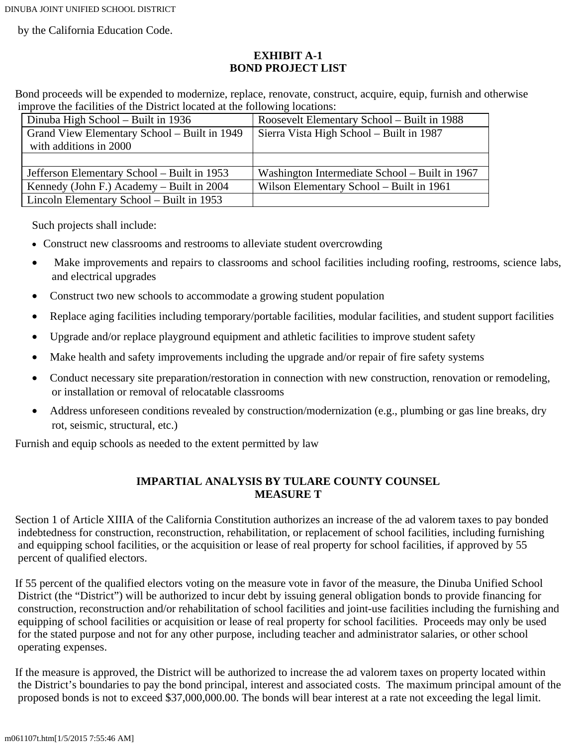DINUBA JOINT UNIFIED SCHOOL DISTRICT

by the California Education Code.

## **EXHIBIT A-1 BOND PROJECT LIST**

Bond proceeds will be expended to modernize, replace, renovate, construct, acquire, equip, furnish and otherwise improve the facilities of the District located at the following locations:

| Dinuba High School – Built in 1936           | Roosevelt Elementary School - Built in 1988    |
|----------------------------------------------|------------------------------------------------|
| Grand View Elementary School - Built in 1949 | Sierra Vista High School – Built in 1987       |
| with additions in 2000                       |                                                |
|                                              |                                                |
| Jefferson Elementary School - Built in 1953  | Washington Intermediate School – Built in 1967 |
| Kennedy (John F.) Academy – Built in 2004    | Wilson Elementary School - Built in 1961       |
| Lincoln Elementary School - Built in 1953    |                                                |

Such projects shall include:

- Construct new classrooms and restrooms to alleviate student overcrowding
- · Make improvements and repairs to classrooms and school facilities including roofing, restrooms, science labs, and electrical upgrades
- Construct two new schools to accommodate a growing student population
- · Replace aging facilities including temporary/portable facilities, modular facilities, and student support facilities
- · Upgrade and/or replace playground equipment and athletic facilities to improve student safety
- Make health and safety improvements including the upgrade and/or repair of fire safety systems
- Conduct necessary site preparation/restoration in connection with new construction, renovation or remodeling, or installation or removal of relocatable classrooms
- Address unforeseen conditions revealed by construction/modernization (e.g., plumbing or gas line breaks, dry rot, seismic, structural, etc.)

Furnish and equip schools as needed to the extent permitted by law

## **IMPARTIAL ANALYSIS BY TULARE COUNTY COUNSEL MEASURE T**

Section 1 of Article XIIIA of the California Constitution authorizes an increase of the ad valorem taxes to pay bonded indebtedness for construction, reconstruction, rehabilitation, or replacement of school facilities, including furnishing and equipping school facilities, or the acquisition or lease of real property for school facilities, if approved by 55 percent of qualified electors.

If 55 percent of the qualified electors voting on the measure vote in favor of the measure, the Dinuba Unified School District (the "District") will be authorized to incur debt by issuing general obligation bonds to provide financing for construction, reconstruction and/or rehabilitation of school facilities and joint-use facilities including the furnishing and equipping of school facilities or acquisition or lease of real property for school facilities. Proceeds may only be used for the stated purpose and not for any other purpose, including teacher and administrator salaries, or other school operating expenses.

If the measure is approved, the District will be authorized to increase the ad valorem taxes on property located within the District's boundaries to pay the bond principal, interest and associated costs. The maximum principal amount of the proposed bonds is not to exceed \$37,000,000.00. The bonds will bear interest at a rate not exceeding the legal limit.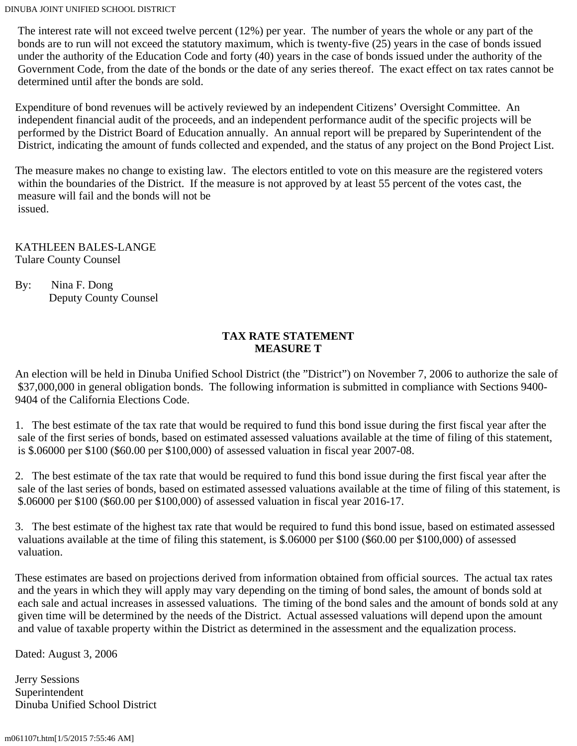The interest rate will not exceed twelve percent (12%) per year. The number of years the whole or any part of the bonds are to run will not exceed the statutory maximum, which is twenty-five (25) years in the case of bonds issued under the authority of the Education Code and forty (40) years in the case of bonds issued under the authority of the Government Code, from the date of the bonds or the date of any series thereof. The exact effect on tax rates cannot be determined until after the bonds are sold.

Expenditure of bond revenues will be actively reviewed by an independent Citizens' Oversight Committee. An independent financial audit of the proceeds, and an independent performance audit of the specific projects will be performed by the District Board of Education annually. An annual report will be prepared by Superintendent of the District, indicating the amount of funds collected and expended, and the status of any project on the Bond Project List.

The measure makes no change to existing law. The electors entitled to vote on this measure are the registered voters within the boundaries of the District. If the measure is not approved by at least 55 percent of the votes cast, the measure will fail and the bonds will not be issued.

KATHLEEN BALES-LANGE Tulare County Counsel

By: Nina F. Dong Deputy County Counsel

#### **TAX RATE STATEMENT MEASURE T**

An election will be held in Dinuba Unified School District (the "District") on November 7, 2006 to authorize the sale of \$37,000,000 in general obligation bonds. The following information is submitted in compliance with Sections 9400-9404 of the California Elections Code.

1. The best estimate of the tax rate that would be required to fund this bond issue during the first fiscal year after the sale of the first series of bonds, based on estimated assessed valuations available at the time of filing of this statement, is \$.06000 per \$100 (\$60.00 per \$100,000) of assessed valuation in fiscal year 2007-08.

2. The best estimate of the tax rate that would be required to fund this bond issue during the first fiscal year after the sale of the last series of bonds, based on estimated assessed valuations available at the time of filing of this statement, is \$.06000 per \$100 (\$60.00 per \$100,000) of assessed valuation in fiscal year 2016-17.

3. The best estimate of the highest tax rate that would be required to fund this bond issue, based on estimated assessed valuations available at the time of filing this statement, is \$.06000 per \$100 (\$60.00 per \$100,000) of assessed valuation.

These estimates are based on projections derived from information obtained from official sources. The actual tax rates and the years in which they will apply may vary depending on the timing of bond sales, the amount of bonds sold at each sale and actual increases in assessed valuations. The timing of the bond sales and the amount of bonds sold at any given time will be determined by the needs of the District. Actual assessed valuations will depend upon the amount and value of taxable property within the District as determined in the assessment and the equalization process.

Dated: August 3, 2006

Jerry Sessions Superintendent Dinuba Unified School District